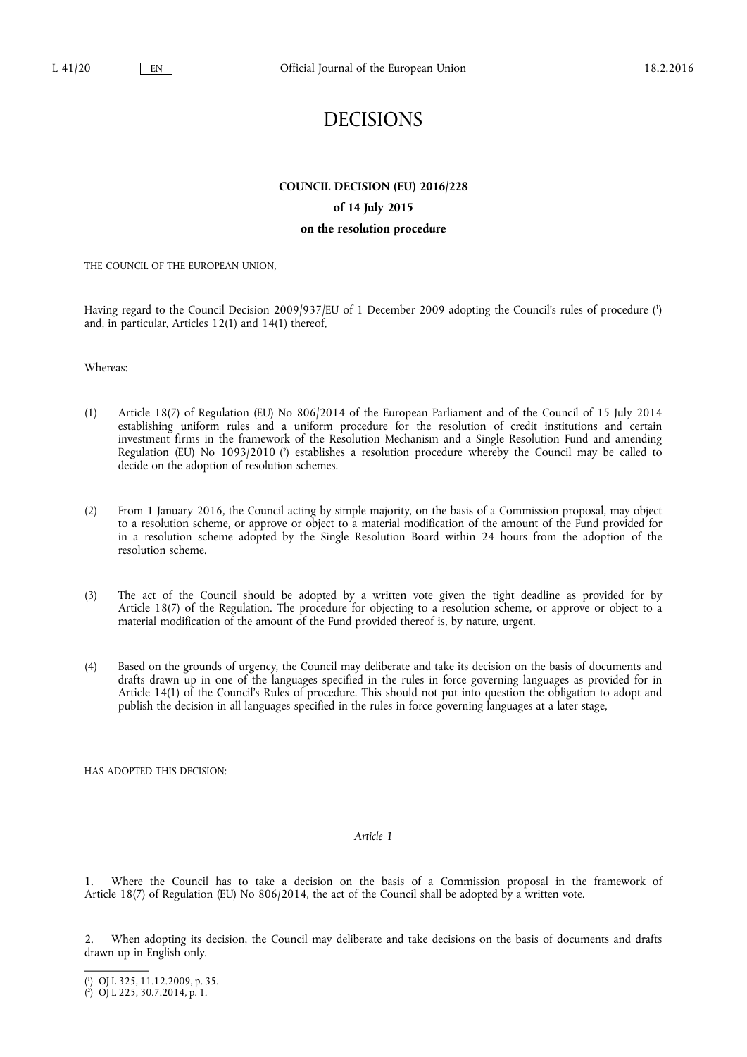# DECISIONS

## **COUNCIL DECISION (EU) 2016/228**

## **of 14 July 2015**

## **on the resolution procedure**

#### THE COUNCIL OF THE EUROPEAN UNION,

Having regard to the Council Decision 2009/937/EU of 1 December 2009 adopting the Council's rules of procedure ( 1 ) and, in particular, Articles 12(1) and 14(1) thereof,

Whereas:

- (1) Article 18(7) of Regulation (EU) No 806/2014 of the European Parliament and of the Council of 15 July 2014 establishing uniform rules and a uniform procedure for the resolution of credit institutions and certain investment firms in the framework of the Resolution Mechanism and a Single Resolution Fund and amending Regulation (EU) No 1093/2010 (<sup>2</sup>) establishes a resolution procedure whereby the Council may be called to decide on the adoption of resolution schemes.
- (2) From 1 January 2016, the Council acting by simple majority, on the basis of a Commission proposal, may object to a resolution scheme, or approve or object to a material modification of the amount of the Fund provided for in a resolution scheme adopted by the Single Resolution Board within 24 hours from the adoption of the resolution scheme.
- (3) The act of the Council should be adopted by a written vote given the tight deadline as provided for by Article 18(7) of the Regulation. The procedure for objecting to a resolution scheme, or approve or object to a material modification of the amount of the Fund provided thereof is, by nature, urgent.
- (4) Based on the grounds of urgency, the Council may deliberate and take its decision on the basis of documents and drafts drawn up in one of the languages specified in the rules in force governing languages as provided for in Article 14(1) of the Council's Rules of procedure. This should not put into question the obligation to adopt and publish the decision in all languages specified in the rules in force governing languages at a later stage,

HAS ADOPTED THIS DECISION:

#### *Article 1*

1. Where the Council has to take a decision on the basis of a Commission proposal in the framework of Article 18(7) of Regulation (EU) No 806/2014, the act of the Council shall be adopted by a written vote.

2. When adopting its decision, the Council may deliberate and take decisions on the basis of documents and drafts drawn up in English only.

<sup>(</sup> 1 ) OJ L 325, 11.12.2009, p. 35.

<sup>(</sup> 2 ) OJ L 225, 30.7.2014, p. 1.